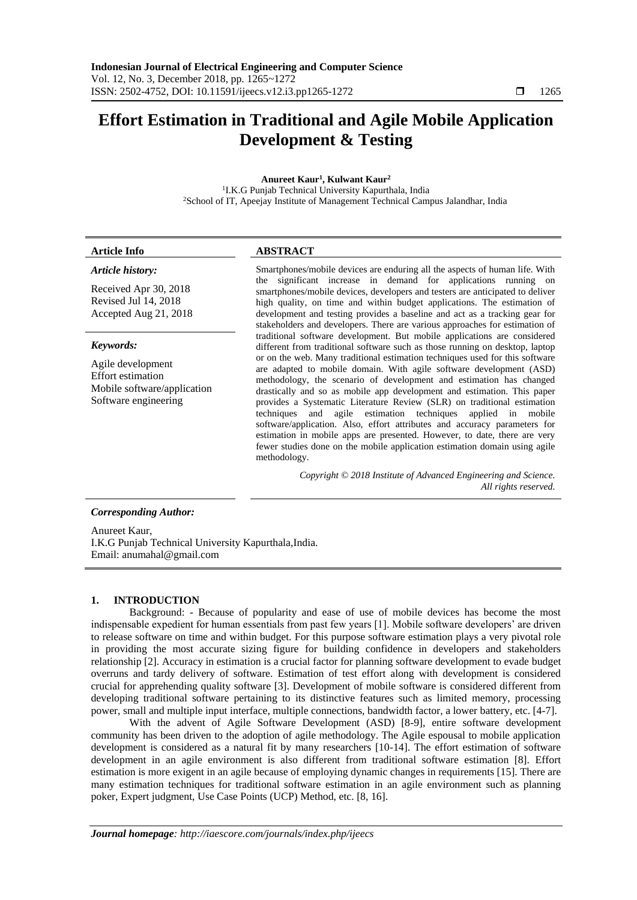# **Effort Estimation in Traditional and Agile Mobile Application Development & Testing**

**Anureet Kaur<sup>1</sup> , Kulwant Kaur<sup>2</sup>**

<sup>1</sup>I.K.G Punjab Technical University Kapurthala, India <sup>2</sup>School of IT, Apeejay Institute of Management Technical Campus Jalandhar, India

# **Article Info ABSTRACT**

# *Article history:*

Received Apr 30, 2018 Revised Jul 14, 2018 Accepted Aug 21, 2018

# *Keywords:*

Agile development Effort estimation Mobile software/application Software engineering

Smartphones/mobile devices are enduring all the aspects of human life. With the significant increase in demand for applications running on smartphones/mobile devices, developers and testers are anticipated to deliver high quality, on time and within budget applications. The estimation of development and testing provides a baseline and act as a tracking gear for stakeholders and developers. There are various approaches for estimation of traditional software development. But mobile applications are considered different from traditional software such as those running on desktop, laptop or on the web. Many traditional estimation techniques used for this software are adapted to mobile domain. With agile software development (ASD) methodology, the scenario of development and estimation has changed drastically and so as mobile app development and estimation. This paper provides a Systematic Literature Review (SLR) on traditional estimation techniques and agile estimation techniques applied in mobile software/application. Also, effort attributes and accuracy parameters for estimation in mobile apps are presented. However, to date, there are very fewer studies done on the mobile application estimation domain using agile methodology.

> *Copyright © 2018 Institute of Advanced Engineering and Science. All rights reserved.*

# *Corresponding Author:*

Anureet Kaur, I.K.G Punjab Technical University Kapurthala,India. Email: anumahal@gmail.com

# **1. INTRODUCTION**

Background: - Because of popularity and ease of use of mobile devices has become the most indispensable expedient for human essentials from past few years [1]. Mobile software developers' are driven to release software on time and within budget. For this purpose software estimation plays a very pivotal role in providing the most accurate sizing figure for building confidence in developers and stakeholders relationship [2]. Accuracy in estimation is a crucial factor for planning software development to evade budget overruns and tardy delivery of software. Estimation of test effort along with development is considered crucial for apprehending quality software [3]. Development of mobile software is considered different from developing traditional software pertaining to its distinctive features such as limited memory, processing power, small and multiple input interface, multiple connections, bandwidth factor, a lower battery, etc. [4-7].

With the advent of Agile Software Development (ASD) [8-9], entire software development community has been driven to the adoption of agile methodology. The Agile espousal to mobile application development is considered as a natural fit by many researchers [10-14]. The effort estimation of software development in an agile environment is also different from traditional software estimation [8]. Effort estimation is more exigent in an agile because of employing dynamic changes in requirements [15]. There are many estimation techniques for traditional software estimation in an agile environment such as planning poker, Expert judgment, Use Case Points (UCP) Method, etc. [8, 16].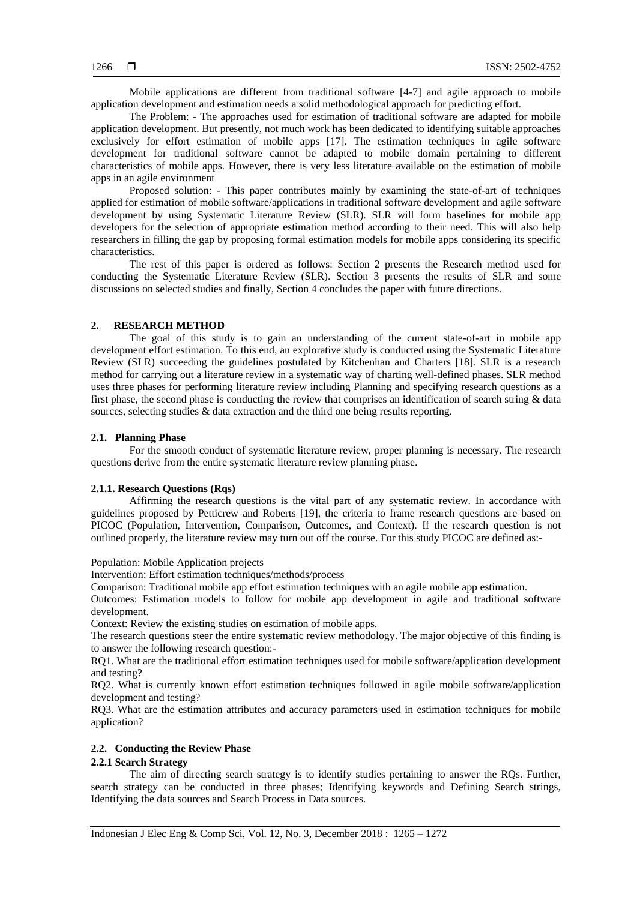Mobile applications are different from traditional software [4-7] and agile approach to mobile application development and estimation needs a solid methodological approach for predicting effort.

The Problem: - The approaches used for estimation of traditional software are adapted for mobile application development. But presently, not much work has been dedicated to identifying suitable approaches exclusively for effort estimation of mobile apps [17]. The estimation techniques in agile software development for traditional software cannot be adapted to mobile domain pertaining to different characteristics of mobile apps. However, there is very less literature available on the estimation of mobile apps in an agile environment

Proposed solution: - This paper contributes mainly by examining the state-of-art of techniques applied for estimation of mobile software/applications in traditional software development and agile software development by using Systematic Literature Review (SLR). SLR will form baselines for mobile app developers for the selection of appropriate estimation method according to their need. This will also help researchers in filling the gap by proposing formal estimation models for mobile apps considering its specific characteristics.

The rest of this paper is ordered as follows: Section 2 presents the Research method used for conducting the Systematic Literature Review (SLR). Section 3 presents the results of SLR and some discussions on selected studies and finally, Section 4 concludes the paper with future directions.

# **2. RESEARCH METHOD**

The goal of this study is to gain an understanding of the current state-of-art in mobile app development effort estimation. To this end, an explorative study is conducted using the Systematic Literature Review (SLR) succeeding the guidelines postulated by Kitchenhan and Charters [18]. SLR is a research method for carrying out a literature review in a systematic way of charting well-defined phases. SLR method uses three phases for performing literature review including Planning and specifying research questions as a first phase, the second phase is conducting the review that comprises an identification of search string & data sources, selecting studies & data extraction and the third one being results reporting.

# **2.1. Planning Phase**

For the smooth conduct of systematic literature review, proper planning is necessary. The research questions derive from the entire systematic literature review planning phase.

#### **2.1.1. Research Questions (Rqs)**

Affirming the research questions is the vital part of any systematic review. In accordance with guidelines proposed by Petticrew and Roberts [19], the criteria to frame research questions are based on PICOC (Population, Intervention, Comparison, Outcomes, and Context). If the research question is not outlined properly, the literature review may turn out off the course. For this study PICOC are defined as:-

Population: Mobile Application projects

Intervention: Effort estimation techniques/methods/process

Comparison: Traditional mobile app effort estimation techniques with an agile mobile app estimation.

Outcomes: Estimation models to follow for mobile app development in agile and traditional software development.

Context: Review the existing studies on estimation of mobile apps.

The research questions steer the entire systematic review methodology. The major objective of this finding is to answer the following research question:-

RQ1. What are the traditional effort estimation techniques used for mobile software/application development and testing?

RQ2. What is currently known effort estimation techniques followed in agile mobile software/application development and testing?

RQ3. What are the estimation attributes and accuracy parameters used in estimation techniques for mobile application?

# **2.2. Conducting the Review Phase**

## **2.2.1 Search Strategy**

The aim of directing search strategy is to identify studies pertaining to answer the RQs. Further, search strategy can be conducted in three phases; Identifying keywords and Defining Search strings, Identifying the data sources and Search Process in Data sources.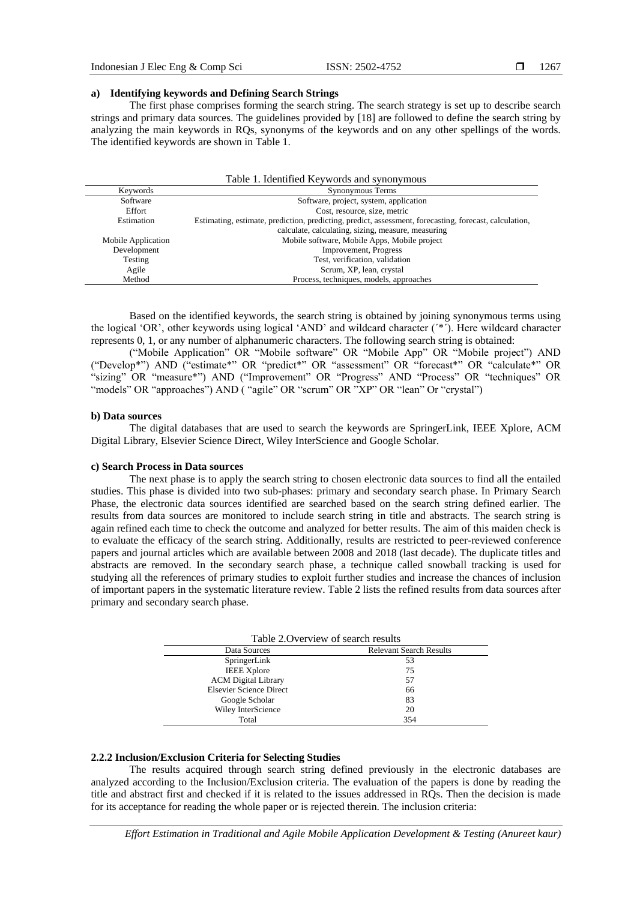# **a) Identifying keywords and Defining Search Strings**

The first phase comprises forming the search string. The search strategy is set up to describe search strings and primary data sources. The guidelines provided by [18] are followed to define the search string by analyzing the main keywords in RQs, synonyms of the keywords and on any other spellings of the words. The identified keywords are shown in Table 1.

|                    | Table 1. Identified Keywords and synonymous                                                            |
|--------------------|--------------------------------------------------------------------------------------------------------|
| Keywords           | Synonymous Terms                                                                                       |
| Software           | Software, project, system, application                                                                 |
| Effort             | Cost, resource, size, metric                                                                           |
| Estimation         | Estimating, estimate, prediction, predicting, predict, assessment, forecasting, forecast, calculation, |
|                    | calculate, calculating, sizing, measure, measuring                                                     |
| Mobile Application | Mobile software, Mobile Apps, Mobile project                                                           |
| Development        | Improvement, Progress                                                                                  |
| Testing            | Test, verification, validation                                                                         |
| Agile              | Scrum, XP, lean, crystal                                                                               |
| Method             | Process, techniques, models, approaches                                                                |

Based on the identified keywords, the search string is obtained by joining synonymous terms using the logical 'OR', other keywords using logical 'AND' and wildcard character (´\*´). Here wildcard character represents 0, 1, or any number of alphanumeric characters. The following search string is obtained:

("Mobile Application" OR "Mobile software" OR "Mobile App" OR "Mobile project") AND ("Develop\*") AND ("estimate\*" OR "predict\*" OR "assessment" OR "forecast\*" OR "calculate\*" OR "sizing" OR "measure\*") AND ("Improvement" OR "Progress" AND "Process" OR "techniques" OR "models" OR "approaches") AND ("agile" OR "scrum" OR "XP" OR "lean" Or "crystal")

#### **b) Data sources**

The digital databases that are used to search the keywords are SpringerLink, IEEE Xplore, ACM Digital Library, Elsevier Science Direct, Wiley InterScience and Google Scholar.

#### **c) Search Process in Data sources**

The next phase is to apply the search string to chosen electronic data sources to find all the entailed studies. This phase is divided into two sub-phases: primary and secondary search phase. In Primary Search Phase, the electronic data sources identified are searched based on the search string defined earlier. The results from data sources are monitored to include search string in title and abstracts. The search string is again refined each time to check the outcome and analyzed for better results. The aim of this maiden check is to evaluate the efficacy of the search string. Additionally, results are restricted to peer-reviewed conference papers and journal articles which are available between 2008 and 2018 (last decade). The duplicate titles and abstracts are removed. In the secondary search phase, a technique called snowball tracking is used for studying all the references of primary studies to exploit further studies and increase the chances of inclusion of important papers in the systematic literature review. Table 2 lists the refined results from data sources after primary and secondary search phase.

| Table 2. Overview of search results |                                |  |  |  |  |
|-------------------------------------|--------------------------------|--|--|--|--|
| Data Sources                        | <b>Relevant Search Results</b> |  |  |  |  |
| SpringerLink                        | 53                             |  |  |  |  |
| <b>IEEE</b> Xplore                  | 75                             |  |  |  |  |
| <b>ACM</b> Digital Library          | 57                             |  |  |  |  |
| Elsevier Science Direct             | 66                             |  |  |  |  |
| Google Scholar                      | 83                             |  |  |  |  |
| Wiley InterScience                  | 20                             |  |  |  |  |
| Total                               | 354                            |  |  |  |  |

# **2.2.2 Inclusion/Exclusion Criteria for Selecting Studies**

The results acquired through search string defined previously in the electronic databases are analyzed according to the Inclusion/Exclusion criteria. The evaluation of the papers is done by reading the title and abstract first and checked if it is related to the issues addressed in RQs. Then the decision is made for its acceptance for reading the whole paper or is rejected therein. The inclusion criteria: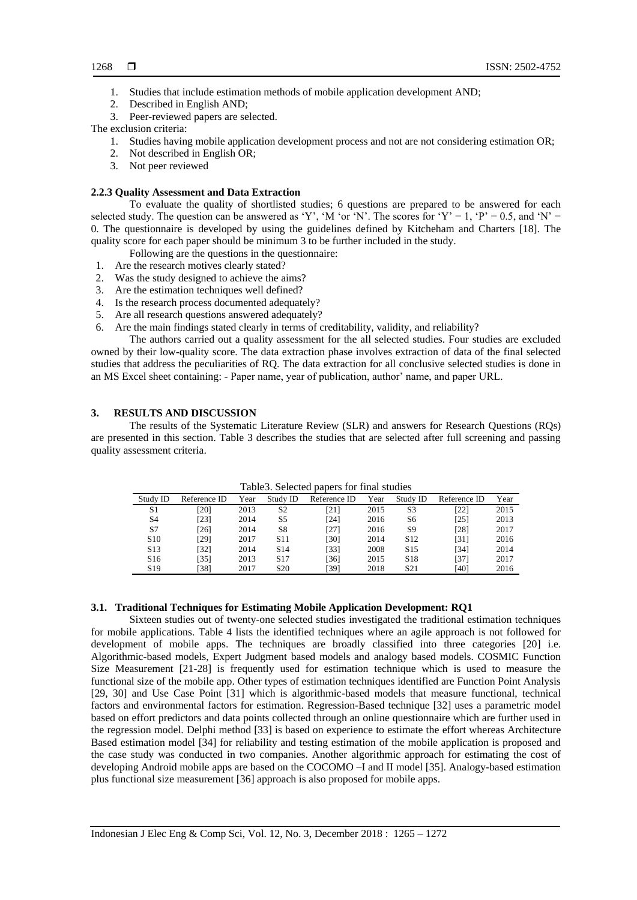- 1. Studies that include estimation methods of mobile application development AND;
- 2. Described in English AND;
- 3. Peer-reviewed papers are selected.

# The exclusion criteria:

- 1. Studies having mobile application development process and not are not considering estimation OR;
- 2. Not described in English OR;
- 3. Not peer reviewed

# **2.2.3 Quality Assessment and Data Extraction**

To evaluate the quality of shortlisted studies; 6 questions are prepared to be answered for each selected study. The question can be answered as 'Y', 'M 'or 'N'. The scores for 'Y' = 1, 'P' = 0.5, and 'N' = 0. The questionnaire is developed by using the guidelines defined by Kitcheham and Charters [18]. The quality score for each paper should be minimum 3 to be further included in the study.

- Following are the questions in the questionnaire:
- 1. Are the research motives clearly stated?
- 2. Was the study designed to achieve the aims?
- 3. Are the estimation techniques well defined?
- 4. Is the research process documented adequately?
- 5. Are all research questions answered adequately?
- 6. Are the main findings stated clearly in terms of creditability, validity, and reliability?

The authors carried out a quality assessment for the all selected studies. Four studies are excluded owned by their low-quality score. The data extraction phase involves extraction of data of the final selected studies that address the peculiarities of RQ. The data extraction for all conclusive selected studies is done in an MS Excel sheet containing: - Paper name, year of publication, author' name, and paper URL.

#### **3. RESULTS AND DISCUSSION**

The results of the Systematic Literature Review (SLR) and answers for Research Questions (RQs) are presented in this section. Table 3 describes the studies that are selected after full screening and passing quality assessment criteria.

| raonos: iseneetea papers for filma staates |              |      |                 |              |      |                 |              |      |
|--------------------------------------------|--------------|------|-----------------|--------------|------|-----------------|--------------|------|
| Study ID                                   | Reference ID | Year | Study ID        | Reference ID | Year | Study ID        | Reference ID | Year |
| S1                                         | [20]         | 2013 | S <sub>2</sub>  | [21]         | 2015 | S3              | [22]         | 2015 |
| S4                                         | [23]         | 2014 | S5              | [24]         | 2016 | S6              | [25]         | 2013 |
| S7                                         | [26]         | 2014 | S8              | [27]         | 2016 | S9              | [28]         | 2017 |
| S <sub>10</sub>                            | [29]         | 2017 | S <sub>11</sub> | [30]         | 2014 | S <sub>12</sub> | [31]         | 2016 |
| S <sub>13</sub>                            | [32]         | 2014 | S <sub>14</sub> | [33]         | 2008 | S <sub>15</sub> | [34]         | 2014 |
| S <sub>16</sub>                            | [35]         | 2013 | S <sub>17</sub> | [36]         | 2015 | S <sub>18</sub> | [37]         | 2017 |
| S <sub>19</sub>                            | [38]         | 2017 | S <sub>20</sub> | [39]         | 2018 | S21             | [40]         | 2016 |

Table3. Selected papers for final studies

# **3.1. Traditional Techniques for Estimating Mobile Application Development: RQ1**

Sixteen studies out of twenty-one selected studies investigated the traditional estimation techniques for mobile applications. Table 4 lists the identified techniques where an agile approach is not followed for development of mobile apps. The techniques are broadly classified into three categories [20] i.e. Algorithmic-based models, Expert Judgment based models and analogy based models. COSMIC Function Size Measurement [21-28] is frequently used for estimation technique which is used to measure the functional size of the mobile app. Other types of estimation techniques identified are Function Point Analysis [29, 30] and Use Case Point [31] which is algorithmic-based models that measure functional, technical factors and environmental factors for estimation. Regression-Based technique [32] uses a parametric model based on effort predictors and data points collected through an online questionnaire which are further used in the regression model. Delphi method [33] is based on experience to estimate the effort whereas Architecture Based estimation model [34] for reliability and testing estimation of the mobile application is proposed and the case study was conducted in two companies. Another algorithmic approach for estimating the cost of developing Android mobile apps are based on the COCOMO –I and II model [35]. Analogy-based estimation plus functional size measurement [36] approach is also proposed for mobile apps.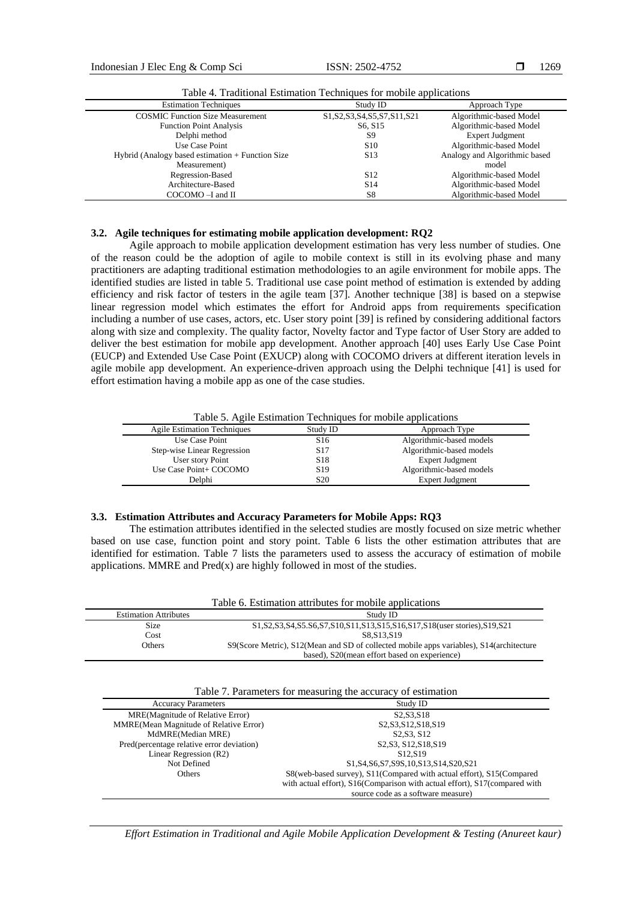Indonesian J Elec Eng & Comp Sci ISSN: 2502-4752

1269

| <b>Estimation Techniques</b>                      | Study ID                         | Approach Type                 |
|---------------------------------------------------|----------------------------------|-------------------------------|
| <b>COSMIC Function Size Measurement</b>           | S1, S2, S3, S4, S5, S7, S11, S21 | Algorithmic-based Model       |
| <b>Function Point Analysis</b>                    | S <sub>6</sub> , S <sub>15</sub> | Algorithmic-based Model       |
| Delphi method                                     | S9                               | Expert Judgment               |
| Use Case Point                                    | S <sub>10</sub>                  | Algorithmic-based Model       |
| Hybrid (Analogy based estimation + Function Size) | S13                              | Analogy and Algorithmic based |
| Measurement)                                      |                                  | model                         |
| Regression-Based                                  | S <sub>12</sub>                  | Algorithmic-based Model       |
| Architecture-Based                                | S <sub>14</sub>                  | Algorithmic-based Model       |
| $COCOMO - I$ and $II$                             | S8                               | Algorithmic-based Model       |

Table 4. Traditional Estimation Techniques for mobile applications

# **3.2. Agile techniques for estimating mobile application development: RQ2**

Agile approach to mobile application development estimation has very less number of studies. One of the reason could be the adoption of agile to mobile context is still in its evolving phase and many practitioners are adapting traditional estimation methodologies to an agile environment for mobile apps. The identified studies are listed in table 5. Traditional use case point method of estimation is extended by adding efficiency and risk factor of testers in the agile team [37]. Another technique [38] is based on a stepwise linear regression model which estimates the effort for Android apps from requirements specification including a number of use cases, actors, etc. User story point [39] is refined by considering additional factors along with size and complexity. The quality factor, Novelty factor and Type factor of User Story are added to deliver the best estimation for mobile app development. Another approach [40] uses Early Use Case Point (EUCP) and Extended Use Case Point (EXUCP) along with COCOMO drivers at different iteration levels in agile mobile app development. An experience-driven approach using the Delphi technique [41] is used for effort estimation having a mobile app as one of the case studies.

Table 5. Agile Estimation Techniques for mobile applications

| <b>Agile Estimation Techniques</b> | Study ID        | Approach Type            |
|------------------------------------|-----------------|--------------------------|
| Use Case Point                     | S <sub>16</sub> | Algorithmic-based models |
| Step-wise Linear Regression        | S <sub>17</sub> | Algorithmic-based models |
| User story Point                   | S <sub>18</sub> | Expert Judgment          |
| Use Case Point+ COCOMO             | S <sub>19</sub> | Algorithmic-based models |
| Delphi                             | S <sub>20</sub> | <b>Expert Judgment</b>   |

### **3.3. Estimation Attributes and Accuracy Parameters for Mobile Apps: RQ3**

The estimation attributes identified in the selected studies are mostly focused on size metric whether based on use case, function point and story point. Table 6 lists the other estimation attributes that are identified for estimation. Table 7 lists the parameters used to assess the accuracy of estimation of mobile applications. MMRE and  $Pred(x)$  are highly followed in most of the studies.

|                              | Table 6. Estimation attributes for mobile applications                                  |
|------------------------------|-----------------------------------------------------------------------------------------|
| <b>Estimation Attributes</b> | Study ID                                                                                |
| <b>Size</b>                  | S1, S2, S3, S4, S5. S6, S7, S10, S11, S13, S15, S16, S17, S18(user stories), S19, S21   |
| Cost                         | S8.S13.S19                                                                              |
| Others                       | S9(Score Metric), S12(Mean and SD of collected mobile apps variables), S14(architecture |
|                              | based), S20(mean effort based on experience)                                            |

| Table 7. Parameters for measuring the accuracy of estimation |  |  |  |  |
|--------------------------------------------------------------|--|--|--|--|
|                                                              |  |  |  |  |

| <b>Accuracy Parameters</b>                | Study ID                                                                   |
|-------------------------------------------|----------------------------------------------------------------------------|
| <b>MRE</b> (Magnitude of Relative Error)  | S <sub>2</sub> , S <sub>3</sub> , S <sub>18</sub>                          |
| MMRE(Mean Magnitude of Relative Error)    | S2, S3, S12, S18, S19                                                      |
| MdMRE(Median MRE)                         | S <sub>2</sub> , S <sub>3</sub> , S <sub>12</sub>                          |
| Pred(percentage relative error deviation) | S <sub>2</sub> , S <sub>12</sub> , S <sub>18</sub> , S <sub>19</sub>       |
| Linear Regression (R2)                    | S <sub>12</sub> .S <sub>19</sub>                                           |
| Not Defined                               | S1, S4, S6, S7, S9S, 10, S13, S14, S20, S21                                |
| Others                                    | S8(web-based survey), S11(Compared with actual effort), S15(Compared       |
|                                           | with actual effort), S16(Comparison with actual effort), S17(compared with |
|                                           | source code as a software measure)                                         |

*Effort Estimation in Traditional and Agile Mobile Application Development & Testing (Anureet kaur)*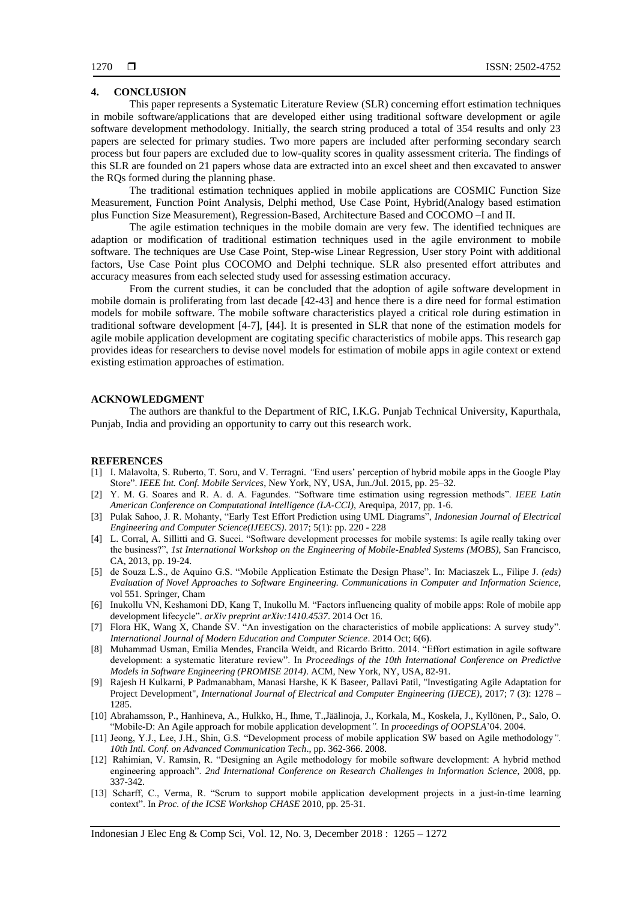# **4. CONCLUSION**

This paper represents a Systematic Literature Review (SLR) concerning effort estimation techniques in mobile software/applications that are developed either using traditional software development or agile software development methodology. Initially, the search string produced a total of 354 results and only 23 papers are selected for primary studies. Two more papers are included after performing secondary search process but four papers are excluded due to low-quality scores in quality assessment criteria. The findings of this SLR are founded on 21 papers whose data are extracted into an excel sheet and then excavated to answer the RQs formed during the planning phase.

The traditional estimation techniques applied in mobile applications are COSMIC Function Size Measurement, Function Point Analysis, Delphi method, Use Case Point, Hybrid(Analogy based estimation plus Function Size Measurement), Regression-Based, Architecture Based and COCOMO –I and II.

The agile estimation techniques in the mobile domain are very few. The identified techniques are adaption or modification of traditional estimation techniques used in the agile environment to mobile software. The techniques are Use Case Point, Step-wise Linear Regression, User story Point with additional factors, Use Case Point plus COCOMO and Delphi technique. SLR also presented effort attributes and accuracy measures from each selected study used for assessing estimation accuracy.

From the current studies, it can be concluded that the adoption of agile software development in mobile domain is proliferating from last decade [42-43] and hence there is a dire need for formal estimation models for mobile software. The mobile software characteristics played a critical role during estimation in traditional software development [4-7], [44]. It is presented in SLR that none of the estimation models for agile mobile application development are cogitating specific characteristics of mobile apps. This research gap provides ideas for researchers to devise novel models for estimation of mobile apps in agile context or extend existing estimation approaches of estimation.

#### **ACKNOWLEDGMENT**

The authors are thankful to the Department of RIC, I.K.G. Punjab Technical University, Kapurthala, Punjab, India and providing an opportunity to carry out this research work.

#### **REFERENCES**

- [1] I. Malavolta, S. Ruberto, T. Soru, and V. Terragni. *"*End users' perception of hybrid mobile apps in the Google Play Store". *IEEE Int. Conf. Mobile Services*, New York, NY, USA, Jun./Jul. 2015, pp. 25–32.
- [2] Y. M. G. Soares and R. A. d. A. Fagundes. "Software time estimation using regression methods". *IEEE Latin American Conference on Computational Intelligence (LA-CCI)*, Arequipa, 2017, pp. 1-6.
- [3] Pulak Sahoo, J. R. Mohanty, "Early Test Effort Prediction using UML Diagrams", *Indonesian Journal of Electrical Engineering and Computer Science(IJEECS)*. 2017; 5(1): pp. 220 - 228
- [4] L. Corral, A. Sillitti and G. Succi. "Software development processes for mobile systems: Is agile really taking over the business?", *1st International Workshop on the Engineering of Mobile-Enabled Systems (MOBS)*, San Francisco, CA, 2013, pp. 19-24.
- [5] de Souza L.S., de Aquino G.S. "Mobile Application Estimate the Design Phase"*.* In: Maciaszek L., Filipe J. *(eds) Evaluation of Novel Approaches to Software Engineering. Communications in Computer and Information Science*, vol 551. Springer, Cham
- [6] Inukollu VN, Keshamoni DD, Kang T, Inukollu M. "Factors influencing quality of mobile apps: Role of mobile app development lifecycle". *arXiv preprint arXiv:1410.4537*. 2014 Oct 16.
- [7] Flora HK, Wang X, Chande SV. "An investigation on the characteristics of mobile applications: A survey study". *International Journal of Modern Education and Computer Science*. 2014 Oct; 6(6).
- [8] Muhammad Usman, Emilia Mendes, Francila Weidt, and Ricardo Britto. 2014. "Effort estimation in agile software development: a systematic literature review". In *Proceedings of the 10th International Conference on Predictive Models in Software Engineering (PROMISE 2014)*. ACM, New York, NY, USA, 82-91.
- [9] Rajesh H Kulkarni, P Padmanabham, Manasi Harshe, K K Baseer, Pallavi Patil, "Investigating Agile Adaptation for Project Development", *International Journal of Electrical and Computer Engineering (IJECE)*, 2017; 7 (3): 1278 – 1285.
- [10] Abrahamsson, P., Hanhineva, A., Hulkko, H., Ihme, T.,Jäälinoja, J., Korkala, M., Koskela, J., Kyllönen, P., Salo, O. "Mobile-D: An Agile approach for mobile application development*".* In *proceedings of OOPSLA*'04. 2004.
- [11] Jeong, Y.J., Lee, J.H., Shin, G.S. "Development process of mobile application SW based on Agile methodology*". 10th Intl. Conf. on Advanced Communication Tech*., pp. 362-366. 2008.
- [12] Rahimian, V. Ramsin, R. "Designing an Agile methodology for mobile software development: A hybrid method engineering approach". *2nd International Conference on Research Challenges in Information Science*, 2008, pp. 337-342.
- [13] Scharff, C., Verma, R. "Scrum to support mobile application development projects in a just-in-time learning context". In *Proc. of the ICSE Workshop CHASE* 2010, pp. 25-31.

Indonesian J Elec Eng & Comp Sci, Vol. 12, No. 3, December 2018 : 1265 – 1272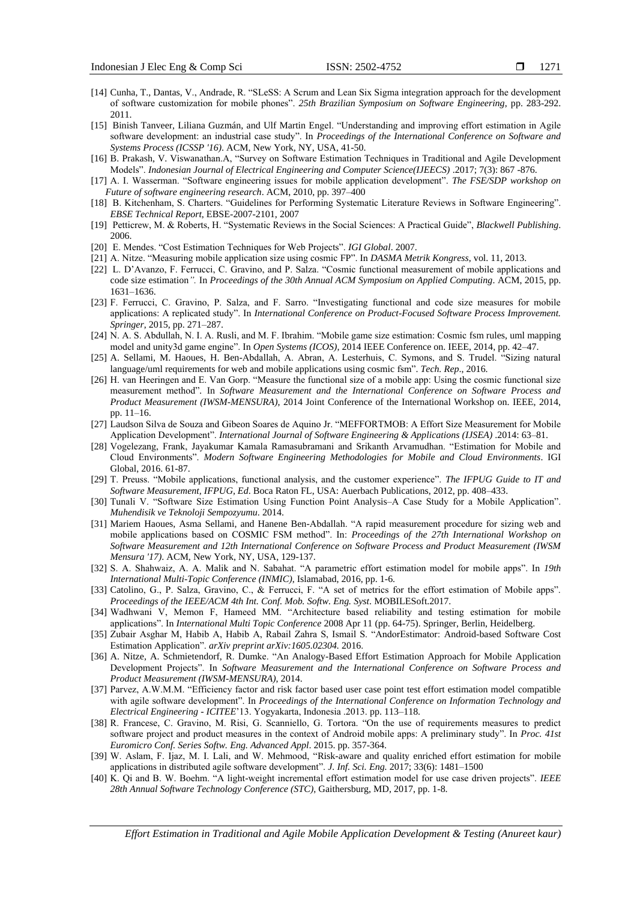- 1271
- [14] Cunha, T., Dantas, V., Andrade, R. "SLeSS: A Scrum and Lean Six Sigma integration approach for the development of software customization for mobile phones". *25th Brazilian Symposium on Software Engineering*, pp. 283-292. 2011.
- [15] Binish Tanveer, Liliana Guzmán, and Ulf Martin Engel. "Understanding and improving effort estimation in Agile software development: an industrial case study". In *Proceedings of the International Conference on Software and Systems Process (ICSSP '16)*. ACM, New York, NY, USA, 41-50.
- [16] B. Prakash, V. Viswanathan.A, "Survey on Software Estimation Techniques in Traditional and Agile Development Models". *Indonesian Journal of Electrical Engineering and Computer Science(IJEECS)* .2017; 7(3): 867 -876.
- [17] A. I. Wasserman. "Software engineering issues for mobile application development". *The FSE/SDP workshop on Future of software engineering research*. ACM, 2010, pp. 397–400
- [18] B. Kitchenham, S. Charters. "Guidelines for Performing Systematic Literature Reviews in Software Engineering". *EBSE Technical Report*, EBSE-2007-2101, 2007
- [19] Petticrew, M. & Roberts, H. "Systematic Reviews in the Social Sciences: A Practical Guide", *Blackwell Publishing*. 2006.
- [20] E. Mendes. "Cost Estimation Techniques for Web Projects". *IGI Global*. 2007.
- [21] A. Nitze. "Measuring mobile application size using cosmic FP". In *DASMA Metrik Kongress*, vol. 11, 2013.
- [22] L. D'Avanzo, F. Ferrucci, C. Gravino, and P. Salza. "Cosmic functional measurement of mobile applications and code size estimation*".* In *Proceedings of the 30th Annual ACM Symposium on Applied Computing*. ACM, 2015, pp. 1631–1636.
- [23] F. Ferrucci, C. Gravino, P. Salza, and F. Sarro. "Investigating functional and code size measures for mobile applications: A replicated study". In *International Conference on Product-Focused Software Process Improvement. Springer*, 2015, pp. 271–287.
- [24] N. A. S. Abdullah, N. I. A. Rusli, and M. F. Ibrahim. "Mobile game size estimation: Cosmic fsm rules, uml mapping model and unity3d game engine". In *Open Systems (ICOS)*, 2014 IEEE Conference on. IEEE, 2014, pp. 42–47.
- [25] A. Sellami, M. Haoues, H. Ben-Abdallah, A. Abran, A. Lesterhuis, C. Symons, and S. Trudel. "Sizing natural language/uml requirements for web and mobile applications using cosmic fsm". *Tech. Rep*., 2016.
- [26] H. van Heeringen and E. Van Gorp. "Measure the functional size of a mobile app: Using the cosmic functional size measurement method"*.* In *Software Measurement and the International Conference on Software Process and Product Measurement (IWSM-MENSURA)*, 2014 Joint Conference of the International Workshop on. IEEE, 2014, pp. 11–16.
- [27] Laudson Silva de Souza and Gibeon Soares de Aquino Jr. "MEFFORTMOB: A Effort Size Measurement for Mobile Application Development". *International Journal of Software Engineering & Applications (IJSEA)* .2014: 63–81.
- [28] Vogelezang, Frank, Jayakumar Kamala Ramasubramani and Srikanth Arvamudhan. "Estimation for Mobile and Cloud Environments". *Modern Software Engineering Methodologies for Mobile and Cloud Environments*. IGI Global, 2016. 61-87.
- [29] T. Preuss. "Mobile applications, functional analysis, and the customer experience". *The IFPUG Guide to IT and Software Measurement, IFPUG, Ed*. Boca Raton FL, USA: Auerbach Publications, 2012, pp. 408–433.
- [30] Tunali V. "Software Size Estimation Using Function Point Analysis–A Case Study for a Mobile Application". *Muhendisik ve Teknoloji Sempozyumu*. 2014.
- [31] Mariem Haoues, Asma Sellami, and Hanene Ben-Abdallah. "A rapid measurement procedure for sizing web and mobile applications based on COSMIC FSM method". In: *Proceedings of the 27th International Workshop on Software Measurement and 12th International Conference on Software Process and Product Measurement (IWSM Mensura '17)*. ACM, New York, NY, USA, 129-137.
- [32] S. A. Shahwaiz, A. A. Malik and N. Sabahat. "A parametric effort estimation model for mobile apps". In *19th International Multi-Topic Conference (INMIC)*, Islamabad, 2016, pp. 1-6.
- [33] Catolino, G., P. Salza, Gravino, C., & Ferrucci, F. "A set of metrics for the effort estimation of Mobile apps". *Proceedings of the IEEE/ACM 4th Int. Conf. Mob. Softw. Eng. Syst*. MOBILESoft.2017.
- [34] Wadhwani V, Memon F, Hameed MM. "Architecture based reliability and testing estimation for mobile applications". In *International Multi Topic Conference* 2008 Apr 11 (pp. 64-75). Springer, Berlin, Heidelberg.
- [35] Zubair Asghar M, Habib A, Habib A, Rabail Zahra S, Ismail S. "AndorEstimator: Android-based Software Cost Estimation Application". *arXiv preprint arXiv:1605.02304.* 2016.
- [36] A. Nitze, A. Schmietendorf, R. Dumke. "An Analogy-Based Effort Estimation Approach for Mobile Application Development Projects". In *Software Measurement and the International Conference on Software Process and Product Measurement (IWSM-MENSURA)*, 2014.
- [37] Parvez, A.W.M.M. "Efficiency factor and risk factor based user case point test effort estimation model compatible with agile software development". In *Proceedings of the International Conference on Information Technology and Electrical Engineering - ICITEE*'13. Yogyakarta, Indonesia .2013. pp. 113–118.
- [38] R. Francese, C. Gravino, M. Risi, G. Scanniello, G. Tortora. "On the use of requirements measures to predict software project and product measures in the context of Android mobile apps: A preliminary study". In *Proc. 41st Euromicro Conf. Series Softw. Eng. Advanced Appl*. 2015. pp. 357-364.
- [39] W. Aslam, F. Ijaz, M. I. Lali, and W. Mehmood, "Risk-aware and quality enriched effort estimation for mobile applications in distributed agile software development". *J. Inf. Sci. Eng.* 2017; 33(6): 1481–1500
- [40] K. Qi and B. W. Boehm. "A light-weight incremental effort estimation model for use case driven projects". *IEEE 28th Annual Software Technology Conference (STC)*, Gaithersburg, MD, 2017, pp. 1-8.